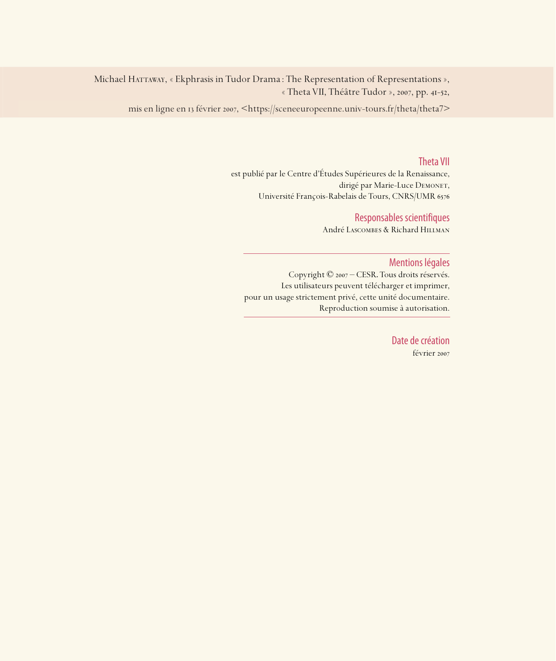Michael HATTAWAY, « Ekphrasis in Tudor Drama : The Representation of Representations », « Theta VII, Théâtre Tudor », 2007, pp. 41-52,

mis en ligne en 13 février 2007, <https://sceneeuropeenne.univ-tours.fr/theta/theta7>

### Theta VII

est publié par le Centre d'Études Supérieures de la Renaissance, dirigé par Marie-Luce DEMONET, Université François-Rabelais de Tours, CNRS/UMR

### Responsables scientifiques

André Lascombes & Richard Hillman

### Mentions légales

Copyright © 2007 – CESR. Tous droits réservés. Les utilisateurs peuvent télécharger et imprimer, pour un usage strictement privé, cette unité documentaire. Reproduction soumise à autorisation.

> Date de création février 2007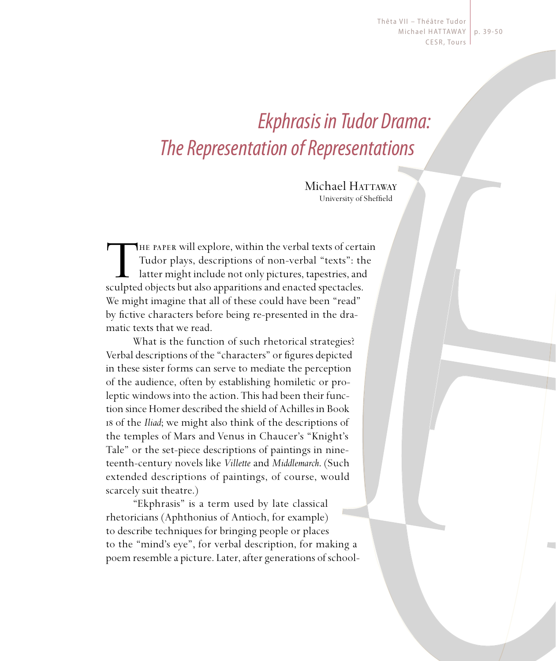Thêta VII - Théâtre Tudor Michael HATTAWAY | p. 39-50 CESR, Tours

# Ekphrasis in Tudor Drama: The Representation of Representations

Michael Hattaway University of Sheffield

THE PAPER will explore, within the verbal texts of certain<br>Tudor plays, descriptions of non-verbal "texts": the<br>latter might include not only pictures, tapestries, and<br>sculpted objects but also apparitions and enacted spec Tudor plays, descriptions of non-verbal "texts": the latter might include not only pictures, tapestries, and sculpted objects but also apparitions and enacted spectacles. We might imagine that all of these could have been "read" by fictive characters before being re-presented in the dramatic texts that we read.

What is the function of such rhetorical strategies? Verbal descriptions of the "characters" or figures depicted in these sister forms can serve to mediate the perception of the audience, often by establishing homiletic or proleptic windows into the action. This had been their function since Homer described the shield of Achilles in Book of the *Iliad*; we might also think of the descriptions of the temples of Mars and Venus in Chaucer's "Knight's Tale" or the set-piece descriptions of paintings in nineteenth-century novels like *Villette* and *Middlemarch*. (Such extended descriptions of paintings, of course, would scarcely suit theatre.)

"Ekphrasis" is a term used by late classical rhetoricians (Aphthonius of Antioch, for example) to describe techniques for bringing people or places to the "mind's eye", for verbal description, for making a poem resemble a picture. Later, after generations of school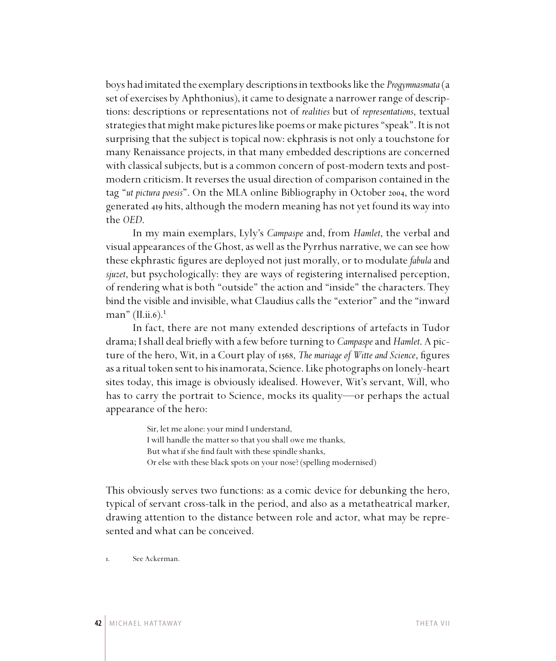boys had imitated the exemplary descriptions in textbooks like the *Progymnasmata* (a set of exercises by Aphthonius), it came to designate a narrower range of descriptions: descriptions or representations not of *realities* but of *representations*, textual strategies that might make pictures like poems or make pictures "speak". It is not surprising that the subject is topical now: ekphrasis is not only a touchstone for many Renaissance projects, in that many embedded descriptions are concerned with classical subjects, but is a common concern of post-modern texts and postmodern criticism. It reverses the usual direction of comparison contained in the tag "ut pictura poesis". On the MLA online Bibliography in October 2004, the word generated 419 hits, although the modern meaning has not yet found its way into the *OED*.

In my main exemplars, Lyly's *Campaspe* and, from *Hamlet*, the verbal and visual appearances of the Ghost, as well as the Pyrrhus narrative, we can see how these ekphrastic figures are deployed not just morally, or to modulate *fabula* and *sjuzet*, but psychologically: they are ways of registering internalised perception, of rendering what is both "outside" the action and "inside" the characters. They bind the visible and invisible, what Claudius calls the "exterior" and the "inward man" (II.ii.6).<sup>1</sup>

In fact, there are not many extended descriptions of artefacts in Tudor drama; I shall deal briefly with a few before turning to *Campaspe* and *Hamlet*. A picture of the hero, Wit, in a Court play of 1568, The mariage of Witte and Science, figures as a ritual token sent to his inamorata, Science. Like photographs on lonely-heart sites today, this image is obviously idealised. However, Wit's servant, Will, who has to carry the portrait to Science, mocks its quality—or perhaps the actual appearance of the hero:

> Sir, let me alone: your mind I understand, I will handle the matter so that you shall owe me thanks, But what if she find fault with these spindle shanks, Or else with these black spots on your nose? (spelling modernised)

This obviously serves two functions: as a comic device for debunking the hero, typical of servant cross-talk in the period, and also as a metatheatrical marker, drawing attention to the distance between role and actor, what may be represented and what can be conceived.

. See Ackerman.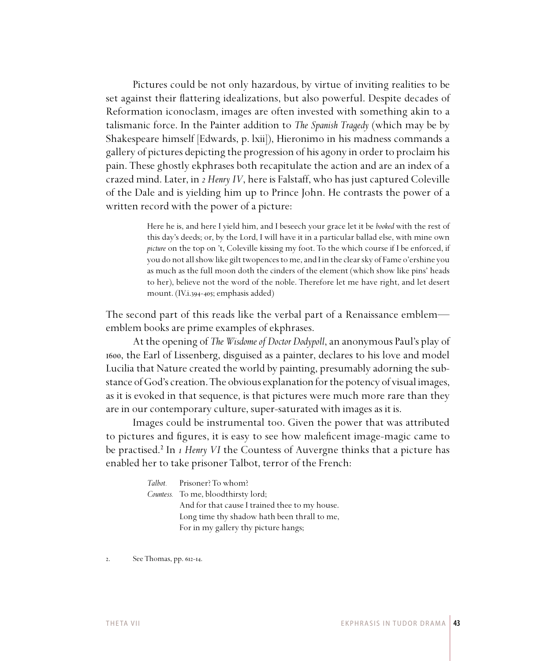Pictures could be not only hazardous, by virtue of inviting realities to be set against their flattering idealizations, but also powerful. Despite decades of Reformation iconoclasm, images are often invested with something akin to a talismanic force. In the Painter addition to *The Spanish Tragedy* (which may be by Shakespeare himself [Edwards, p. lxii]), Hieronimo in his madness commands a gallery of pictures depicting the progression of his agony in order to proclaim his pain. These ghostly ekphrases both recapitulate the action and are an index of a crazed mind. Later, in *2 Henry IV*, here is Falstaff, who has just captured Coleville of the Dale and is yielding him up to Prince John. He contrasts the power of a written record with the power of a picture:

> Here he is, and here I yield him, and I beseech your grace let it be *booked* with the rest of this day's deeds; or, by the Lord, I will have it in a particular ballad else, with mine own *picture* on the top on 't, Coleville kissing my foot. To the which course if I be enforced, if you do not all show like gilt twopences to me, and I in the clear sky of Fame o'ershine you as much as the full moon doth the cinders of the element (which show like pins' heads to her), believe not the word of the noble. Therefore let me have right, and let desert mount. (IV.i.394-405; emphasis added)

The second part of this reads like the verbal part of a Renaissance emblem emblem books are prime examples of ekphrases.

At the opening of *The Wisdome of Doctor Dodypoll*, an anonymous Paul's play of , the Earl of Lissenberg, disguised as a painter, declares to his love and model Lucilia that Nature created the world by painting, presumably adorning the substance of God's creation. The obvious explanation for the potency of visual images, as it is evoked in that sequence, is that pictures were much more rare than they are in our contemporary culture, super-saturated with images as it is.

Images could be instrumental too. Given the power that was attributed to pictures and figures, it is easy to see how maleficent image-magic came to be practised.² In *1 Henry VI* the Countess of Auvergne thinks that a picture has enabled her to take prisoner Talbot, terror of the French:

| <i>Talbot.</i> Prisoner? To whom?              |
|------------------------------------------------|
| <i>Countess.</i> To me, bloodthirsty lord;     |
| And for that cause I trained thee to my house. |
| Long time thy shadow hath been thrall to me,   |
| For in my gallery thy picture hangs;           |

 $2.$  See Thomas, pp.  $612-14$ .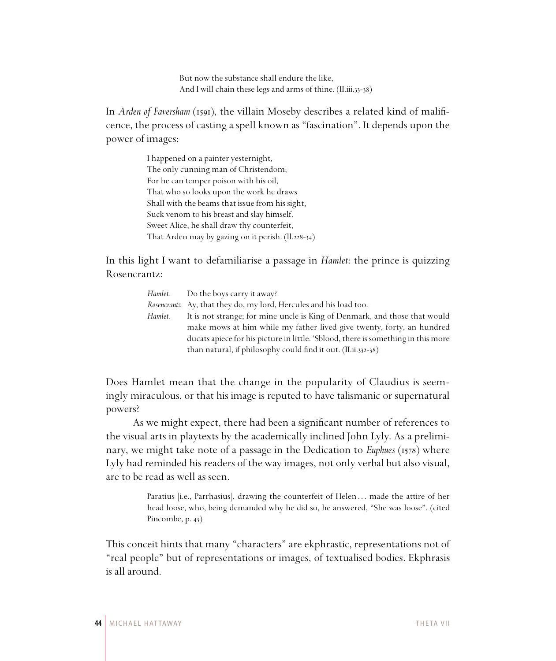But now the substance shall endure the like, And I will chain these legs and arms of thine.  $(II.iii.33-38)$ 

In *Arden of Faversham* (1591), the villain Moseby describes a related kind of malificence, the process of casting a spell known as "fascination". It depends upon the power of images:

> I happened on a painter yesternight, The only cunning man of Christendom; For he can temper poison with his oil, That who so looks upon the work he draws Shall with the beams that issue from his sight, Suck venom to his breast and slay himself. Sweet Alice, he shall draw thy counterfeit, That Arden may by gazing on it perish.  $(11.228-34)$

In this light I want to defamiliarise a passage in *Hamlet*: the prince is quizzing Rosencrantz:

| <i>Hamlet.</i> Do the boys carry it away?                                         |
|-----------------------------------------------------------------------------------|
| <i>Rosencrantz.</i> Ay, that they do, my lord, Hercules and his load too.         |
| It is not strange; for mine uncle is King of Denmark, and those that would        |
| make mows at him while my father lived give twenty, forty, an hundred             |
| ducats apiece for his picture in little. 'Sblood, there is something in this more |
| than natural, if philosophy could find it out. (II.ii.332-38)                     |
|                                                                                   |

Does Hamlet mean that the change in the popularity of Claudius is seemingly miraculous, or that his image is reputed to have talismanic or supernatural powers?

As we might expect, there had been a significant number of references to the visual arts in playtexts by the academically inclined John Lyly. As a preliminary, we might take note of a passage in the Dedication to *Euphues* (1578) where Lyly had reminded his readers of the way images, not only verbal but also visual, are to be read as well as seen.

> Paratius [i.e., Parrhasius], drawing the counterfeit of Helen ... made the attire of her head loose, who, being demanded why he did so, he answered, "She was loose". (cited Pincombe, p. 43)

This conceit hints that many "characters" are ekphrastic, representations not of "real people" but of representations or images, of textualised bodies. Ekphrasis is all around.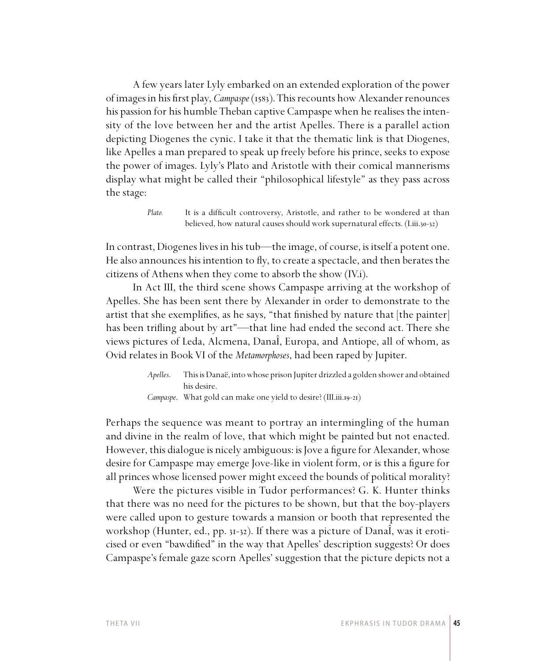A few years later Lyly embarked on an extended exploration of the power of images in his first play, *Campaspe* (1583). This recounts how Alexander renounces his passion for his humble Theban captive Campaspe when he realises the intensity of the love between her and the artist Apelles. There is a parallel action depicting Diogenes the cynic. I take it that the thematic link is that Diogenes, like Apelles a man prepared to speak up freely before his prince, seeks to expose the power of images. Lyly's Plato and Aristotle with their comical mannerisms display what might be called their "philosophical lifestyle" as they pass across the stage:

> *Plato.* It is a difficult controversy, Aristotle, and rather to be wondered at than believed, how natural causes should work supernatural effects. (I.iii.30-32)

In contrast, Diogenes lives in his tub—the image, of course, is itself a potent one. He also announces his intention to fly, to create a spectacle, and then berates the citizens of Athens when they come to absorb the show (IV.i).

In Act III, the third scene shows Campaspe arriving at the workshop of Apelles. She has been sent there by Alexander in order to demonstrate to the artist that she exemplifies, as he says, "that finished by nature that  $[the painter]$ has been trifling about by art"—that line had ended the second act. There she views pictures of Leda, Alcmena, DanaÎ, Europa, and Antiope, all of whom, as Ovid relates in Book VI of the *Metamorphoses*, had been raped by Jupiter.

> *Apelles*. This is Danaë, into whose prison Jupiter drizzled a golden shower and obtained his desire. *Campaspe.* What gold can make one yield to desire? (III.iii.19-21)

Perhaps the sequence was meant to portray an intermingling of the human and divine in the realm of love, that which might be painted but not enacted. However, this dialogue is nicely ambiguous: is Jove a figure for Alexander, whose desire for Campaspe may emerge Jove-like in violent form, or is this a figure for all princes whose licensed power might exceed the bounds of political morality?

Were the pictures visible in Tudor performances? G. K. Hunter thinks that there was no need for the pictures to be shown, but that the boy-players were called upon to gesture towards a mansion or booth that represented the workshop (Hunter, ed., pp. 31-32). If there was a picture of DanaI, was it eroticised or even "bawdified" in the way that Apelles' description suggests? Or does Campaspe's female gaze scorn Apelles' suggestion that the picture depicts not a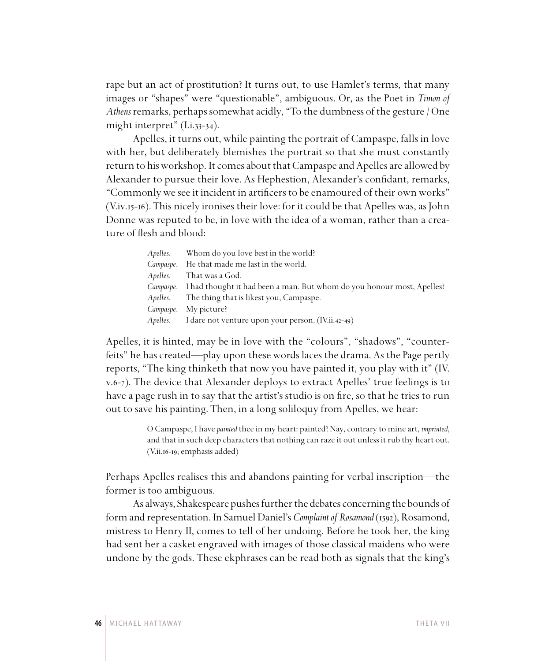rape but an act of prostitution? It turns out, to use Hamlet's terms, that many images or "shapes" were "questionable", ambiguous. Or, as the Poet in *Timon of Athens* remarks, perhaps somewhat acidly, "To the dumbness of the gesture / One might interpret"  $(I.i.33-34).$ 

Apelles, it turns out, while painting the portrait of Campaspe, falls in love with her, but deliberately blemishes the portrait so that she must constantly return to his workshop. It comes about that Campaspe and Apelles are allowed by Alexander to pursue their love. As Hephestion, Alexander's confidant, remarks, "Commonly we see it incident in artificers to be enamoured of their own works" (V.iv.15-16). This nicely ironises their love: for it could be that Apelles was, as John Donne was reputed to be, in love with the idea of a woman, rather than a creature of flesh and blood:

| <i>Apelles.</i> Whom do you love best in the world?                              |
|----------------------------------------------------------------------------------|
| <i>Campaspe.</i> He that made me last in the world.                              |
| <i>Apelles.</i> That was a God.                                                  |
| Campaspe. I had thought it had been a man. But whom do you honour most, Apelles? |
| Apelles. The thing that is likest you, Campaspe.                                 |
| Campaspe. My picture?                                                            |
| Apelles. I dare not venture upon your person. (IV.ii.42-49)                      |

Apelles, it is hinted, may be in love with the "colours", "shadows", "counterfeits" he has created—play upon these words laces the drama. As the Page pertly reports, "The king thinketh that now you have painted it, you play with it" (IV. v.6-7). The device that Alexander deploys to extract Apelles' true feelings is to have a page rush in to say that the artist's studio is on fire, so that he tries to run out to save his painting. Then, in a long soliloquy from Apelles, we hear:

> O Campaspe, I have *painted* thee in my heart: painted? Nay, contrary to mine art, *imprinted*, and that in such deep characters that nothing can raze it out unless it rub thy heart out.  $(V.ii.16-19;$  emphasis added)

Perhaps Apelles realises this and abandons painting for verbal inscription—the former is too ambiguous.

As always, Shakespeare pushes further the debates concerning the bounds of form and representation. In Samuel Daniel's *Complaint of Rosamond* (1592), Rosamond, mistress to Henry II, comes to tell of her undoing. Before he took her, the king had sent her a casket engraved with images of those classical maidens who were undone by the gods. These ekphrases can be read both as signals that the king's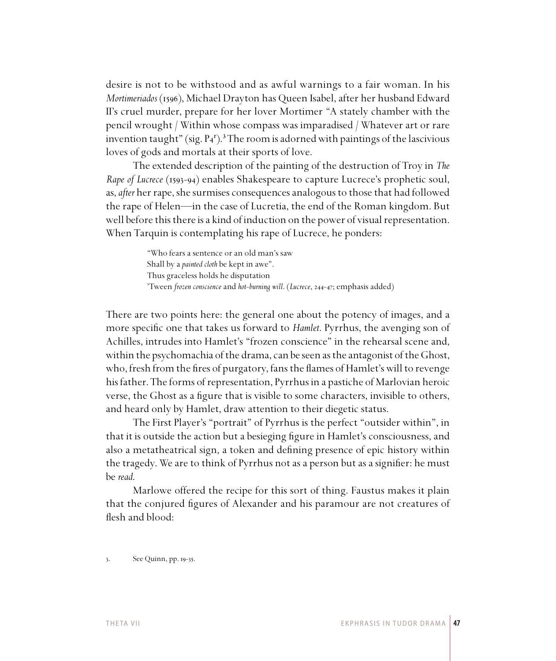desire is not to be withstood and as awful warnings to a fair woman. In his *Mortimeriados* (1596), Michael Drayton has Queen Isabel, after her husband Edward II's cruel murder, prepare for her lover Mortimer "A stately chamber with the pencil wrought / Within whose compass was imparadised / Whatever art or rare invention taught" (sig.  $P_4$ <sup>r</sup>).<sup>3</sup> The room is adorned with paintings of the lascivious loves of gods and mortals at their sports of love.

The extended description of the painting of the destruction of Troy in *The Rape of Lucrece* (1593-94) enables Shakespeare to capture Lucrece's prophetic soul, as, *after* her rape, she surmises consequences analogous to those that had followed the rape of Helen—in the case of Lucretia, the end of the Roman kingdom. But well before this there is a kind of induction on the power of visual representation. When Tarquin is contemplating his rape of Lucrece, he ponders:

> "Who fears a sentence or an old man's saw Shall by a *painted cloth* be kept in awe". Thus graceless holds he disputation 'Tween *frozen conscience* and *hot-burning will*. (*Lucrece*, 244-47; emphasis added)

There are two points here: the general one about the potency of images, and a more specific one that takes us forward to *Hamlet*. Pyrrhus, the avenging son of Achilles, intrudes into Hamlet's "frozen conscience" in the rehearsal scene and, within the psychomachia of the drama, can be seen as the antagonist of the Ghost, who, fresh from the fires of purgatory, fans the flames of Hamlet's will to revenge his father. The forms of representation, Pyrrhus in a pastiche of Marlovian heroic verse, the Ghost as a figure that is visible to some characters, invisible to others, and heard only by Hamlet, draw attention to their diegetic status.

The First Player's "portrait" of Pyrrhus is the perfect "outsider within", in that it is outside the action but a besieging figure in Hamlet's consciousness, and also a metatheatrical sign, a token and defining presence of epic history within the tragedy. We are to think of Pyrrhus not as a person but as a signifier: he must be *read*.

Marlowe offered the recipe for this sort of thing. Faustus makes it plain that the conjured figures of Alexander and his paramour are not creatures of flesh and blood:

 $\text{See Quinn, pp. 19-35.}$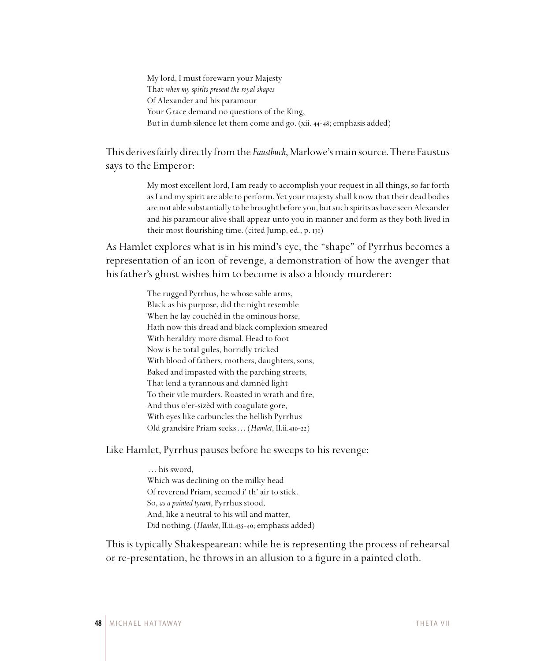My lord, I must forewarn your Majesty That *when my spirits present the royal shapes* Of Alexander and his paramour Your Grace demand no questions of the King, But in dumb silence let them come and go. (xii. 44-48; emphasis added)

This derives fairly directly from the *Faustbuch*, Marlowe's main source. There Faustus says to the Emperor:

> My most excellent lord, I am ready to accomplish your request in all things, so far forth as I and my spirit are able to perform. Yet your majesty shall know that their dead bodies are not able substantially to be brought before you, but such spirits as have seen Alexander and his paramour alive shall appear unto you in manner and form as they both lived in their most flourishing time. (cited Jump, ed., p. 131)

As Hamlet explores what is in his mind's eye, the "shape" of Pyrrhus becomes a representation of an icon of revenge, a demonstration of how the avenger that his father's ghost wishes him to become is also a bloody murderer:

> The rugged Pyrrhus, he whose sable arms, Black as his purpose, did the night resemble When he lay couchèd in the ominous horse, Hath now this dread and black complexion smeared With heraldry more dismal. Head to foot Now is he total gules, horridly tricked With blood of fathers, mothers, daughters, sons, Baked and impasted with the parching streets, That lend a tyrannous and damnèd light To their vile murders. Roasted in wrath and fire, And thus o'er-sizèd with coagulate gore, With eyes like carbuncles the hellish Pyrrhus Old grandsire Priam seeks . . . (*Hamlet*, II.ii.410-22)

Like Hamlet, Pyrrhus pauses before he sweeps to his revenge:

 . . . his sword, Which was declining on the milky head Of reverend Priam, seemed i' th' air to stick. So, *as a painted tyrant*, Pyrrhus stood, And, like a neutral to his will and matter, Did nothing. (*Hamlet*, II.ii.435-40; emphasis added)

This is typically Shakespearean: while he is representing the process of rehearsal or re-presentation, he throws in an allusion to a figure in a painted cloth.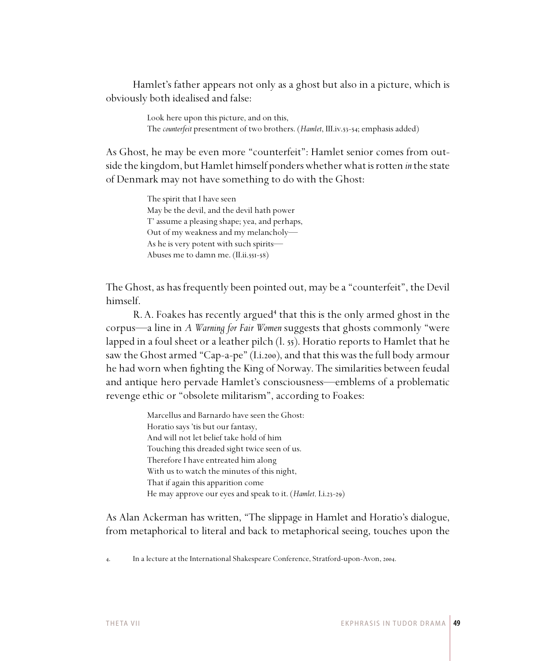Hamlet's father appears not only as a ghost but also in a picture, which is obviously both idealised and false:

> Look here upon this picture, and on this, The *counterfeit* presentment of two brothers. (*Hamlet*, III.iv.53-54; emphasis added)

As Ghost, he may be even more "counterfeit": Hamlet senior comes from outside the kingdom, but Hamlet himself ponders whether what is rotten *in* the state of Denmark may not have something to do with the Ghost:

> The spirit that I have seen May be the devil, and the devil hath power T' assume a pleasing shape; yea, and perhaps, Out of my weakness and my melancholy— As he is very potent with such spirits— Abuses me to damn me. (II.ii.551-58)

The Ghost, as has frequently been pointed out, may be a "counterfeit", the Devil himself.

R. A. Foakes has recently argued<sup>4</sup> that this is the only armed ghost in the corpus—a line in *A Warning for Fair Women* suggests that ghosts commonly "were lapped in a foul sheet or a leather pilch  $(1, 55)$ . Horatio reports to Hamlet that he saw the Ghost armed "Cap-a-pe" (I.i.200), and that this was the full body armour he had worn when fighting the King of Norway. The similarities between feudal and antique hero pervade Hamlet's consciousness—emblems of a problematic revenge ethic or "obsolete militarism", according to Foakes:

> Marcellus and Barnardo have seen the Ghost: Horatio says 'tis but our fantasy, And will not let belief take hold of him Touching this dreaded sight twice seen of us. Therefore I have entreated him along With us to watch the minutes of this night, That if again this apparition come He may approve our eyes and speak to it. (*Hamlet*, I.i.23-29)

As Alan Ackerman has written, "The slippage in Hamlet and Horatio's dialogue, from metaphorical to literal and back to metaphorical seeing, touches upon the

<sup>4.</sup> In a lecture at the International Shakespeare Conference, Stratford-upon-Avon, 2004.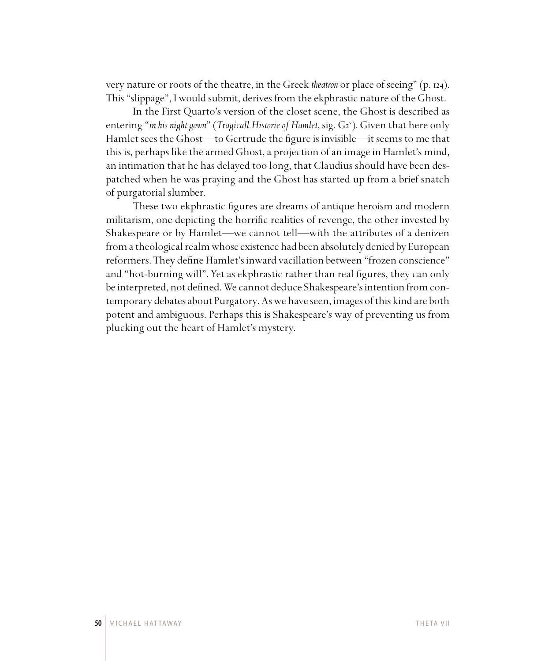very nature or roots of the theatre, in the Greek *theatron* or place of seeing" (p. 124). This "slippage", I would submit, derives from the ekphrastic nature of the Ghost.

In the First Quarto's version of the closet scene, the Ghost is described as entering "in his night gown" (Tragicall Historie of Hamlet, sig. G2<sup>v</sup>). Given that here only Hamlet sees the Ghost—to Gertrude the figure is invisible—it seems to me that this is, perhaps like the armed Ghost, a projection of an image in Hamlet's mind, an intimation that he has delayed too long, that Claudius should have been despatched when he was praying and the Ghost has started up from a brief snatch of purgatorial slumber.

These two ekphrastic figures are dreams of antique heroism and modern militarism, one depicting the horrific realities of revenge, the other invested by Shakespeare or by Hamlet—we cannot tell—with the attributes of a denizen from a theological realm whose existence had been absolutely denied by European reformers. They define Hamlet's inward vacillation between "frozen conscience" and "hot-burning will". Yet as ekphrastic rather than real figures, they can only be interpreted, not defined. We cannot deduce Shakespeare's intention from contemporary debates about Purgatory. As we have seen, images of this kind are both potent and ambiguous. Perhaps this is Shakespeare's way of preventing us from plucking out the heart of Hamlet's mystery.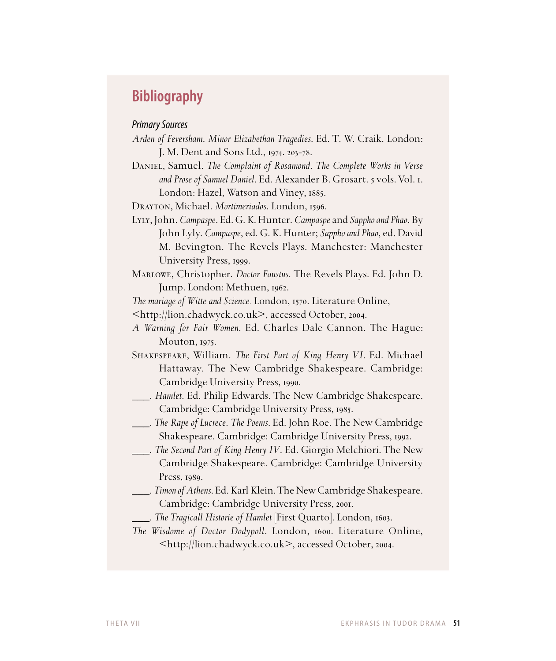# **Bibliography**

## Primary Sources

- *Arden of Feversham*. *Minor Elizabethan Tragedies*. Ed. T. W. Craik. London: J. M. Dent and Sons Ltd., 1974. 203-78.
- Daniel, Samuel. *The Complaint of Rosamond*. *The Complete Works in Verse*  and Prose of Samuel Daniel. Ed. Alexander B. Grosart. 5 vols. Vol. I. London: Hazel, Watson and Viney, 1885.

DRAYTON, Michael. *Mortimeriados*. London, 1596.

- Lyly, John. *Campaspe*. Ed. G. K. Hunter. *Campaspe* and *Sappho and Phao*. By John Lyly. *Campaspe*, ed. G. K. Hunter; *Sappho and Phao*, ed. David M. Bevington. The Revels Plays. Manchester: Manchester University Press, 1999.
- Marlowe, Christopher. *Doctor Faustus*. The Revels Plays. Ed. John D. Jump. London: Methuen, 1962.

*The mariage of Witte and Science.* London, 1570. Literature Online,

<http://lion.chadwyck.co.uk>, accessed October, 2004.

- *A Warning for Fair Women*. Ed. Charles Dale Cannon. The Hague: Mouton, 1975.
- Shakespeare, William. *The First Part of King Henry VI*. Ed. Michael Hattaway. The New Cambridge Shakespeare. Cambridge: Cambridge University Press, 1990.
- \_\_\_. *Hamlet*. Ed. Philip Edwards. The New Cambridge Shakespeare. Cambridge: Cambridge University Press, 1985.
- \_\_\_. *The Rape of Lucrece*. *The Poems*. Ed. John Roe. The New Cambridge Shakespeare. Cambridge: Cambridge University Press, 1992.
- \_\_\_. *The Second Part of King Henry IV*. Ed. Giorgio Melchiori. The New Cambridge Shakespeare. Cambridge: Cambridge University Press, 1989.
- \_\_\_. *Timon of Athens*. Ed. Karl Klein. The New Cambridge Shakespeare. Cambridge: Cambridge University Press, 2001.
- \_\_\_. *The Tragicall Historie of Hamlet* [First Quarto]. London, .
- *The Wisdome of Doctor Dodypoll. London, 1600. Literature Online,* <http://lion.chadwyck.co.uk>, accessed October, 2004.